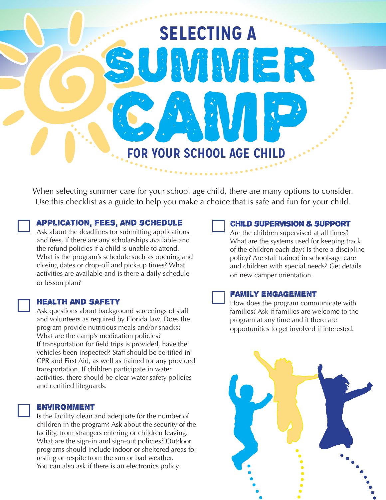# **SELECTING A FOR YOUR SCHOOL AGE CHILD SMARR** CAMP SCHOOL AGE CHILD

When selecting summer care for your school age child, there are many options to consider. Use this checklist as a guide to help you make a choice that is safe and fun for your child.

# Application, fees, and schedule

Ask about the deadlines for submitting applications and fees, if there are any scholarships available and the refund policies if a child is unable to attend. What is the program's schedule such as opening and closing dates or drop-off and pick-up times? What activities are available and is there a daily schedule or lesson plan?

#### Health and safety

Ask questions about background screenings of staff and volunteers as required by Florida law. Does the program provide nutritious meals and/or snacks? What are the camp's medication policies? If transportation for field trips is provided, have the vehicles been inspected? Staff should be certified in CPR and First Aid, as well as trained for any provided transportation. If children participate in water activities, there should be clear water safety policies and certified lifeguards.

#### Environment

Is the facility clean and adequate for the number of children in the program? Ask about the security of the facility, from strangers entering or children leaving. What are the sign-in and sign-out policies? Outdoor programs should include indoor or sheltered areas for resting or respite from the sun or bad weather. You can also ask if there is an electronics policy.



#### Child supervision & support

Are the children supervised at all times? What are the systems used for keeping track of the children each day? Is there a discipline policy? Are staff trained in school-age care and children with special needs? Get details on new camper orientation.

#### Family engagement

How does the program communicate with families? Ask if families are welcome to the program at any time and if there are opportunities to get involved if interested.